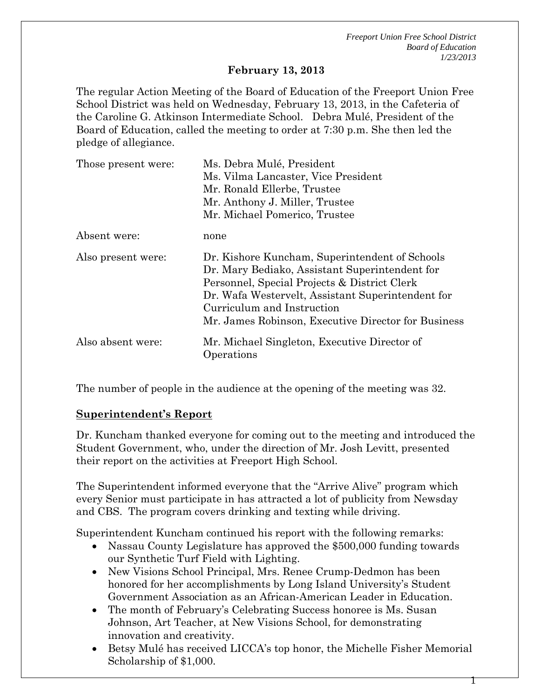1

#### **February 13, 2013**

The regular Action Meeting of the Board of Education of the Freeport Union Free School District was held on Wednesday, February 13, 2013, in the Cafeteria of the Caroline G. Atkinson Intermediate School. Debra Mulé, President of the Board of Education, called the meeting to order at 7:30 p.m. She then led the pledge of allegiance.

| Those present were: | Ms. Debra Mulé, President                                                                                                                                                                                                                                                                  |  |  |
|---------------------|--------------------------------------------------------------------------------------------------------------------------------------------------------------------------------------------------------------------------------------------------------------------------------------------|--|--|
|                     | Ms. Vilma Lancaster, Vice President                                                                                                                                                                                                                                                        |  |  |
|                     | Mr. Ronald Ellerbe, Trustee                                                                                                                                                                                                                                                                |  |  |
|                     | Mr. Anthony J. Miller, Trustee                                                                                                                                                                                                                                                             |  |  |
|                     | Mr. Michael Pomerico, Trustee                                                                                                                                                                                                                                                              |  |  |
| Absent were:        | none                                                                                                                                                                                                                                                                                       |  |  |
| Also present were:  | Dr. Kishore Kuncham, Superintendent of Schools<br>Dr. Mary Bediako, Assistant Superintendent for<br>Personnel, Special Projects & District Clerk<br>Dr. Wafa Westervelt, Assistant Superintendent for<br>Curriculum and Instruction<br>Mr. James Robinson, Executive Director for Business |  |  |
| Also absent were:   | Mr. Michael Singleton, Executive Director of<br>Operations                                                                                                                                                                                                                                 |  |  |

The number of people in the audience at the opening of the meeting was 32.

#### **Superintendent's Report**

Dr. Kuncham thanked everyone for coming out to the meeting and introduced the Student Government, who, under the direction of Mr. Josh Levitt, presented their report on the activities at Freeport High School.

The Superintendent informed everyone that the "Arrive Alive" program which every Senior must participate in has attracted a lot of publicity from Newsday and CBS. The program covers drinking and texting while driving.

Superintendent Kuncham continued his report with the following remarks:

- Nassau County Legislature has approved the \$500,000 funding towards our Synthetic Turf Field with Lighting.
- New Visions School Principal, Mrs. Renee Crump-Dedmon has been honored for her accomplishments by Long Island University's Student Government Association as an African-American Leader in Education.
- The month of February's Celebrating Success honoree is Ms. Susan Johnson, Art Teacher, at New Visions School, for demonstrating innovation and creativity.
- Betsy Mulé has received LICCA's top honor, the Michelle Fisher Memorial Scholarship of \$1,000.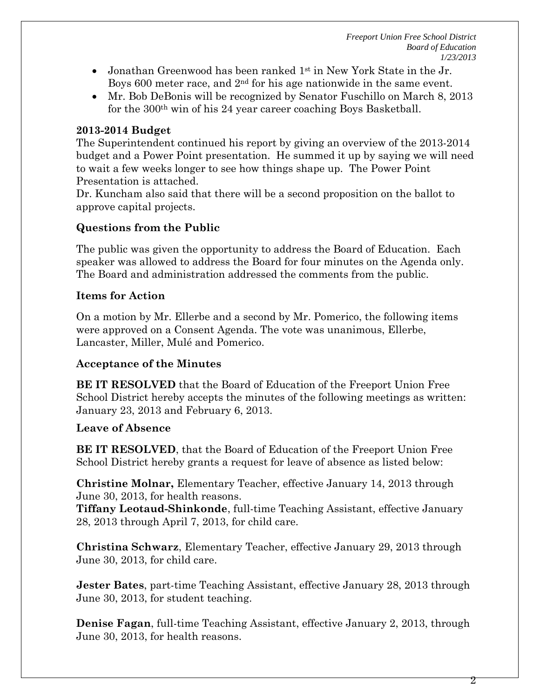- Jonathan Greenwood has been ranked  $1<sup>st</sup>$  in New York State in the Jr. Boys 600 meter race, and 2<sup>nd</sup> for his age nationwide in the same event.
- Mr. Bob DeBonis will be recognized by Senator Fuschillo on March 8, 2013 for the 300th win of his 24 year career coaching Boys Basketball.

# **2013-2014 Budget**

The Superintendent continued his report by giving an overview of the 2013-2014 budget and a Power Point presentation. He summed it up by saying we will need to wait a few weeks longer to see how things shape up. The Power Point Presentation is attached.

Dr. Kuncham also said that there will be a second proposition on the ballot to approve capital projects.

# **Questions from the Public**

The public was given the opportunity to address the Board of Education. Each speaker was allowed to address the Board for four minutes on the Agenda only. The Board and administration addressed the comments from the public.

### **Items for Action**

On a motion by Mr. Ellerbe and a second by Mr. Pomerico, the following items were approved on a Consent Agenda. The vote was unanimous, Ellerbe, Lancaster, Miller, Mulé and Pomerico.

#### **Acceptance of the Minutes**

**BE IT RESOLVED** that the Board of Education of the Freeport Union Free School District hereby accepts the minutes of the following meetings as written: January 23, 2013 and February 6, 2013.

# **Leave of Absence**

**BE IT RESOLVED**, that the Board of Education of the Freeport Union Free School District hereby grants a request for leave of absence as listed below:

**Christine Molnar,** Elementary Teacher, effective January 14, 2013 through June 30, 2013, for health reasons.

**Tiffany Leotaud-Shinkonde**, full-time Teaching Assistant, effective January 28, 2013 through April 7, 2013, for child care.

**Christina Schwarz**, Elementary Teacher, effective January 29, 2013 through June 30, 2013, for child care.

**Jester Bates**, part-time Teaching Assistant, effective January 28, 2013 through June 30, 2013, for student teaching.

**Denise Fagan**, full-time Teaching Assistant, effective January 2, 2013, through June 30, 2013, for health reasons.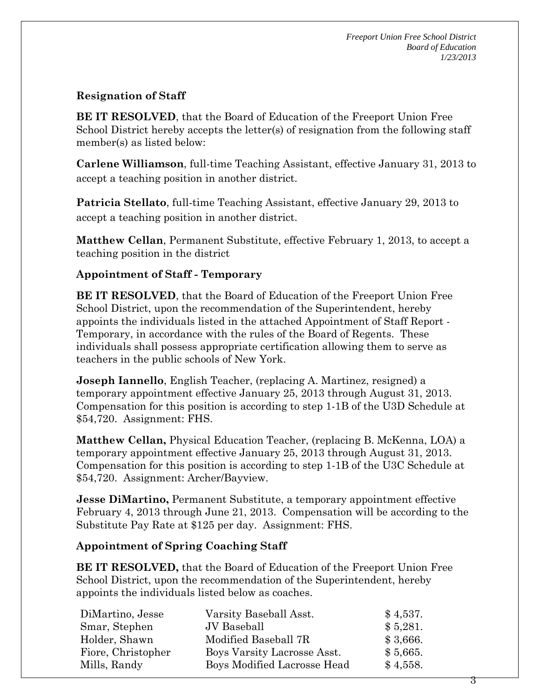# **Resignation of Staff**

**BE IT RESOLVED**, that the Board of Education of the Freeport Union Free School District hereby accepts the letter(s) of resignation from the following staff member(s) as listed below:

**Carlene Williamson**, full-time Teaching Assistant, effective January 31, 2013 to accept a teaching position in another district.

**Patricia Stellato**, full-time Teaching Assistant, effective January 29, 2013 to accept a teaching position in another district.

**Matthew Cellan**, Permanent Substitute, effective February 1, 2013, to accept a teaching position in the district

### **Appointment of Staff - Temporary**

**BE IT RESOLVED**, that the Board of Education of the Freeport Union Free School District, upon the recommendation of the Superintendent, hereby appoints the individuals listed in the attached Appointment of Staff Report - Temporary, in accordance with the rules of the Board of Regents. These individuals shall possess appropriate certification allowing them to serve as teachers in the public schools of New York.

**Joseph Iannello**, English Teacher, (replacing A. Martinez, resigned) a temporary appointment effective January 25, 2013 through August 31, 2013. Compensation for this position is according to step 1-1B of the U3D Schedule at \$54,720. Assignment: FHS.

**Matthew Cellan,** Physical Education Teacher, (replacing B. McKenna, LOA) a temporary appointment effective January 25, 2013 through August 31, 2013. Compensation for this position is according to step 1-1B of the U3C Schedule at \$54,720. Assignment: Archer/Bayview.

**Jesse DiMartino,** Permanent Substitute, a temporary appointment effective February 4, 2013 through June 21, 2013. Compensation will be according to the Substitute Pay Rate at \$125 per day. Assignment: FHS.

#### **Appointment of Spring Coaching Staff**

**BE IT RESOLVED,** that the Board of Education of the Freeport Union Free School District, upon the recommendation of the Superintendent, hereby appoints the individuals listed below as coaches.

| DiMartino, Jesse   | Varsity Baseball Asst.      | \$4,537. |
|--------------------|-----------------------------|----------|
| Smar, Stephen      | JV Baseball                 | \$5,281. |
| Holder, Shawn      | Modified Baseball 7R        | \$3,666. |
| Fiore, Christopher | Boys Varsity Lacrosse Asst. | \$5,665. |
| Mills, Randy       | Boys Modified Lacrosse Head | \$4,558. |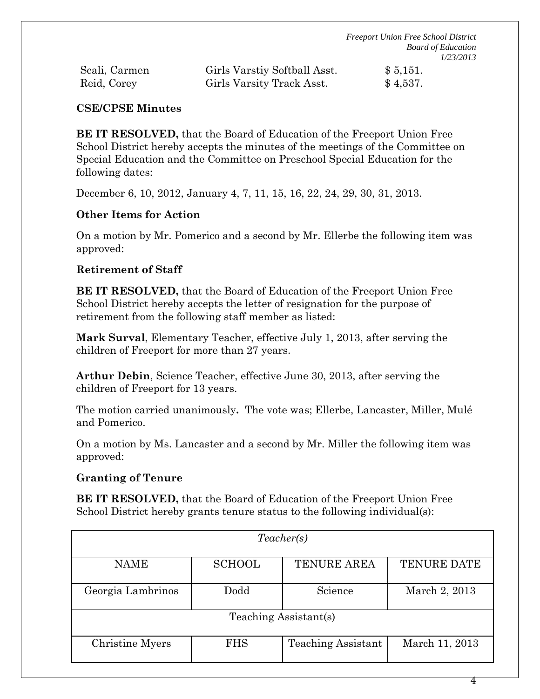| Scali, Carmen | Girls Varstiy Softball Asst. | \$5,151. |
|---------------|------------------------------|----------|
| Reid, Corey   | Girls Varsity Track Asst.    | \$4,537. |

### **CSE/CPSE Minutes**

**BE IT RESOLVED,** that the Board of Education of the Freeport Union Free School District hereby accepts the minutes of the meetings of the Committee on Special Education and the Committee on Preschool Special Education for the following dates:

December 6, 10, 2012, January 4, 7, 11, 15, 16, 22, 24, 29, 30, 31, 2013.

### **Other Items for Action**

On a motion by Mr. Pomerico and a second by Mr. Ellerbe the following item was approved:

### **Retirement of Staff**

**BE IT RESOLVED,** that the Board of Education of the Freeport Union Free School District hereby accepts the letter of resignation for the purpose of retirement from the following staff member as listed:

**Mark Surval**, Elementary Teacher, effective July 1, 2013, after serving the children of Freeport for more than 27 years.

**Arthur Debin**, Science Teacher, effective June 30, 2013, after serving the children of Freeport for 13 years.

The motion carried unanimously**.** The vote was; Ellerbe, Lancaster, Miller, Mulé and Pomerico.

On a motion by Ms. Lancaster and a second by Mr. Miller the following item was approved:

# **Granting of Tenure**

**BE IT RESOLVED,** that the Board of Education of the Freeport Union Free School District hereby grants tenure status to the following individual(s):

| Teacher(s)            |               |                           |                    |  |  |  |
|-----------------------|---------------|---------------------------|--------------------|--|--|--|
| <b>NAME</b>           | <b>SCHOOL</b> | <b>TENURE AREA</b>        | <b>TENURE DATE</b> |  |  |  |
| Georgia Lambrinos     | Dodd          |                           | March 2, 2013      |  |  |  |
| Teaching Assistant(s) |               |                           |                    |  |  |  |
| Christine Myers       | <b>FHS</b>    | <b>Teaching Assistant</b> | March 11, 2013     |  |  |  |

4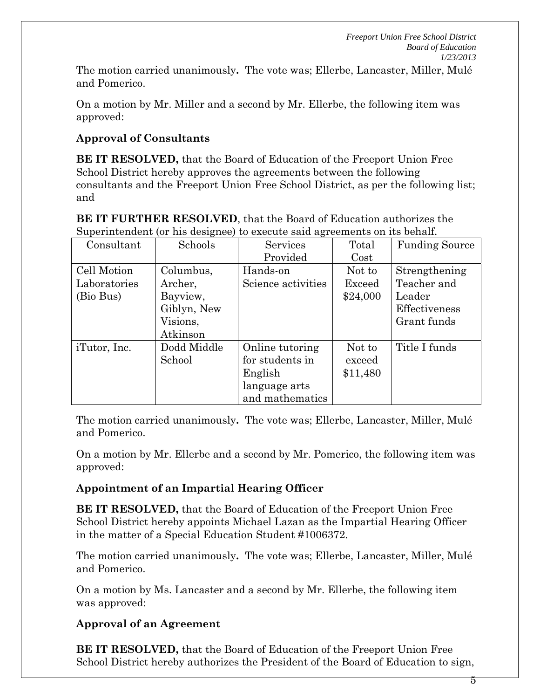The motion carried unanimously**.** The vote was; Ellerbe, Lancaster, Miller, Mulé and Pomerico.

On a motion by Mr. Miller and a second by Mr. Ellerbe, the following item was approved:

# **Approval of Consultants**

**BE IT RESOLVED,** that the Board of Education of the Freeport Union Free School District hereby approves the agreements between the following consultants and the Freeport Union Free School District, as per the following list; and

| -------------- | $\frac{1}{2}$ | to cheed out and coments on no sending |          |                       |
|----------------|---------------|----------------------------------------|----------|-----------------------|
| Consultant     | Schools       | <b>Services</b>                        | Total    | <b>Funding Source</b> |
|                |               | Provided                               | Cost     |                       |
| Cell Motion    | Columbus,     | Hands-on                               | Not to   | Strengthening         |
| Laboratories   | Archer,       | Science activities                     | Exceed   | Teacher and           |
| (Bio Bus)      | Bayview,      |                                        | \$24,000 | Leader                |
|                | Giblyn, New   |                                        |          | Effectiveness         |
|                | Visions,      |                                        |          | Grant funds           |
|                | Atkinson      |                                        |          |                       |
| iTutor, Inc.   | Dodd Middle   | Online tutoring                        | Not to   | Title I funds         |
|                | School        | for students in                        | exceed   |                       |
|                |               | English                                | \$11,480 |                       |
|                |               | language arts                          |          |                       |
|                |               | and mathematics                        |          |                       |

**BE IT FURTHER RESOLVED**, that the Board of Education authorizes the Superintendent (or his designee) to execute said agreements on its behalf.

The motion carried unanimously**.** The vote was; Ellerbe, Lancaster, Miller, Mulé and Pomerico.

On a motion by Mr. Ellerbe and a second by Mr. Pomerico, the following item was approved:

# **Appointment of an Impartial Hearing Officer**

**BE IT RESOLVED,** that the Board of Education of the Freeport Union Free School District hereby appoints Michael Lazan as the Impartial Hearing Officer in the matter of a Special Education Student #1006372.

The motion carried unanimously**.** The vote was; Ellerbe, Lancaster, Miller, Mulé and Pomerico.

On a motion by Ms. Lancaster and a second by Mr. Ellerbe, the following item was approved:

# **Approval of an Agreement**

**BE IT RESOLVED,** that the Board of Education of the Freeport Union Free School District hereby authorizes the President of the Board of Education to sign,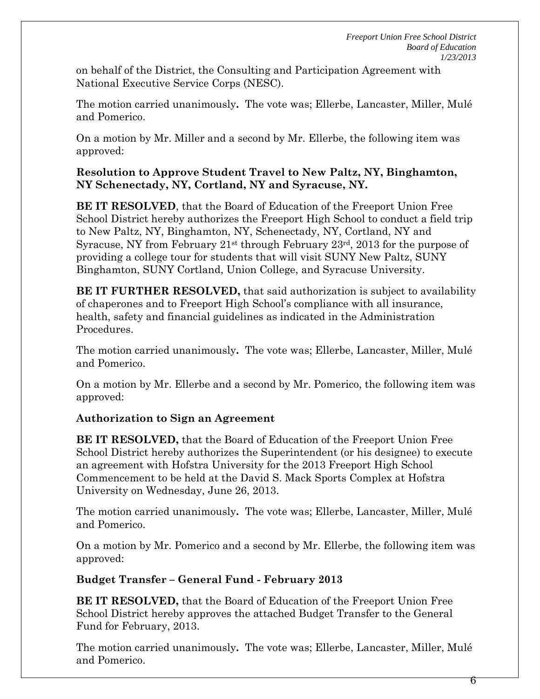on behalf of the District, the Consulting and Participation Agreement with National Executive Service Corps (NESC).

The motion carried unanimously**.** The vote was; Ellerbe, Lancaster, Miller, Mulé and Pomerico.

On a motion by Mr. Miller and a second by Mr. Ellerbe, the following item was approved:

#### **Resolution to Approve Student Travel to New Paltz, NY, Binghamton, NY Schenectady, NY, Cortland, NY and Syracuse, NY.**

**BE IT RESOLVED**, that the Board of Education of the Freeport Union Free School District hereby authorizes the Freeport High School to conduct a field trip to New Paltz, NY, Binghamton, NY, Schenectady, NY, Cortland, NY and Syracuse, NY from February 21st through February 23rd, 2013 for the purpose of providing a college tour for students that will visit SUNY New Paltz, SUNY Binghamton, SUNY Cortland, Union College, and Syracuse University.

**BE IT FURTHER RESOLVED,** that said authorization is subject to availability of chaperones and to Freeport High School's compliance with all insurance, health, safety and financial guidelines as indicated in the Administration Procedures.

The motion carried unanimously**.** The vote was; Ellerbe, Lancaster, Miller, Mulé and Pomerico.

On a motion by Mr. Ellerbe and a second by Mr. Pomerico, the following item was approved:

# **Authorization to Sign an Agreement**

**BE IT RESOLVED,** that the Board of Education of the Freeport Union Free School District hereby authorizes the Superintendent (or his designee) to execute an agreement with Hofstra University for the 2013 Freeport High School Commencement to be held at the David S. Mack Sports Complex at Hofstra University on Wednesday, June 26, 2013.

The motion carried unanimously**.** The vote was; Ellerbe, Lancaster, Miller, Mulé and Pomerico.

On a motion by Mr. Pomerico and a second by Mr. Ellerbe, the following item was approved:

# **Budget Transfer – General Fund - February 2013**

**BE IT RESOLVED,** that the Board of Education of the Freeport Union Free School District hereby approves the attached Budget Transfer to the General Fund for February, 2013.

The motion carried unanimously**.** The vote was; Ellerbe, Lancaster, Miller, Mulé and Pomerico.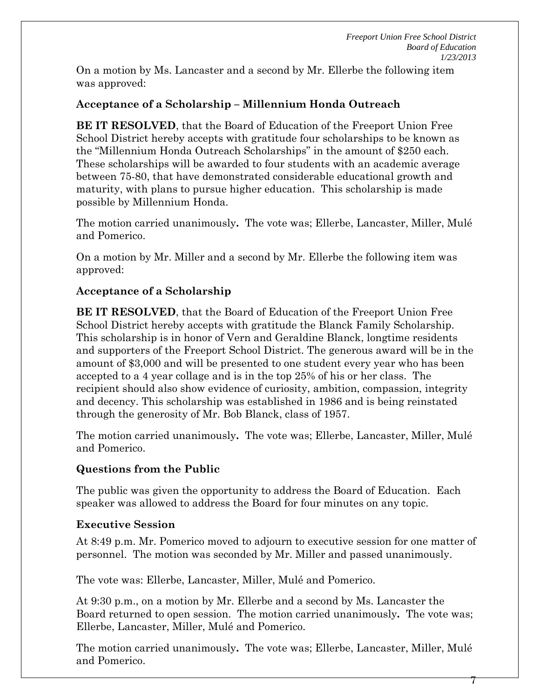On a motion by Ms. Lancaster and a second by Mr. Ellerbe the following item was approved:

# **Acceptance of a Scholarship – Millennium Honda Outreach**

**BE IT RESOLVED**, that the Board of Education of the Freeport Union Free School District hereby accepts with gratitude four scholarships to be known as the "Millennium Honda Outreach Scholarships" in the amount of \$250 each. These scholarships will be awarded to four students with an academic average between 75-80, that have demonstrated considerable educational growth and maturity, with plans to pursue higher education. This scholarship is made possible by Millennium Honda.

The motion carried unanimously**.** The vote was; Ellerbe, Lancaster, Miller, Mulé and Pomerico.

On a motion by Mr. Miller and a second by Mr. Ellerbe the following item was approved:

### **Acceptance of a Scholarship**

**BE IT RESOLVED**, that the Board of Education of the Freeport Union Free School District hereby accepts with gratitude the Blanck Family Scholarship. This scholarship is in honor of Vern and Geraldine Blanck, longtime residents and supporters of the Freeport School District. The generous award will be in the amount of \$3,000 and will be presented to one student every year who has been accepted to a 4 year collage and is in the top 25% of his or her class. The recipient should also show evidence of curiosity, ambition, compassion, integrity and decency. This scholarship was established in 1986 and is being reinstated through the generosity of Mr. Bob Blanck, class of 1957.

The motion carried unanimously**.** The vote was; Ellerbe, Lancaster, Miller, Mulé and Pomerico.

#### **Questions from the Public**

The public was given the opportunity to address the Board of Education. Each speaker was allowed to address the Board for four minutes on any topic.

#### **Executive Session**

At 8:49 p.m. Mr. Pomerico moved to adjourn to executive session for one matter of personnel. The motion was seconded by Mr. Miller and passed unanimously.

The vote was: Ellerbe, Lancaster, Miller, Mulé and Pomerico.

At 9:30 p.m., on a motion by Mr. Ellerbe and a second by Ms. Lancaster the Board returned to open session. The motion carried unanimously**.** The vote was; Ellerbe, Lancaster, Miller, Mulé and Pomerico.

The motion carried unanimously**.** The vote was; Ellerbe, Lancaster, Miller, Mulé and Pomerico.

 $\gamma$